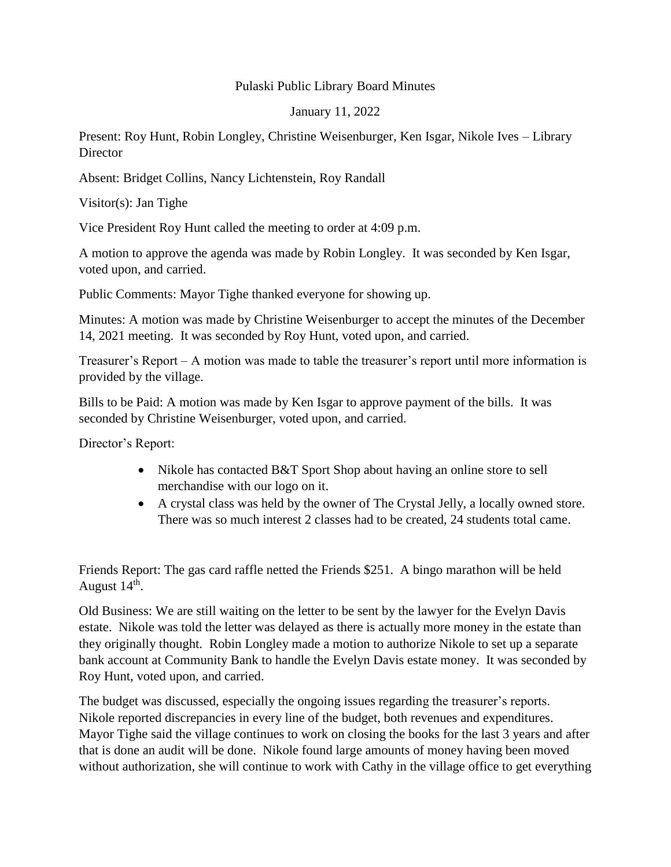## Pulaski Public Library Board Minutes

January 11, 2022

Present: Roy Hunt, Robin Longley, Christine Weisenburger, Ken Isgar, Nikole Ives – Library **Director** 

Absent: Bridget Collins, Nancy Lichtenstein, Roy Randall

Visitor(s): Jan Tighe

Vice President Roy Hunt called the meeting to order at 4:09 p.m.

A motion to approve the agenda was made by Robin Longley. It was seconded by Ken Isgar, voted upon, and carried.

Public Comments: Mayor Tighe thanked everyone for showing up.

Minutes: A motion was made by Christine Weisenburger to accept the minutes of the December 14, 2021 meeting. It was seconded by Roy Hunt, voted upon, and carried.

Treasurer's Report – A motion was made to table the treasurer's report until more information is provided by the village.

Bills to be Paid: A motion was made by Ken Isgar to approve payment of the bills. It was seconded by Christine Weisenburger, voted upon, and carried.

Director's Report:

- Nikole has contacted B&T Sport Shop about having an online store to sell merchandise with our logo on it.
- A crystal class was held by the owner of The Crystal Jelly, a locally owned store. There was so much interest 2 classes had to be created, 24 students total came.

Friends Report: The gas card raffle netted the Friends \$251. A bingo marathon will be held August 14<sup>th</sup>.

Old Business: We are still waiting on the letter to be sent by the lawyer for the Evelyn Davis estate. Nikole was told the letter was delayed as there is actually more money in the estate than they originally thought. Robin Longley made a motion to authorize Nikole to set up a separate bank account at Community Bank to handle the Evelyn Davis estate money. It was seconded by Roy Hunt, voted upon, and carried.

The budget was discussed, especially the ongoing issues regarding the treasurer's reports. Nikole reported discrepancies in every line of the budget, both revenues and expenditures. Mayor Tighe said the village continues to work on closing the books for the last 3 years and after that is done an audit will be done. Nikole found large amounts of money having been moved without authorization, she will continue to work with Cathy in the village office to get everything